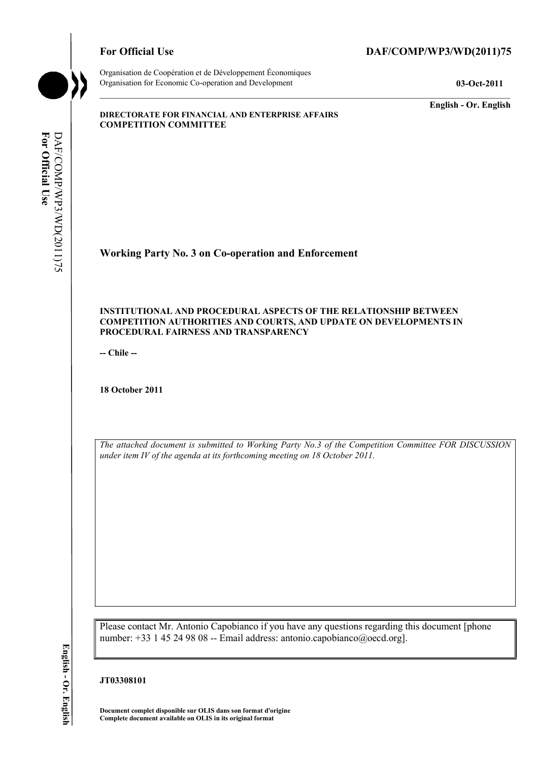

Organisation de Coopération et de Développement Économiques Organisation for Economic Co-operation and Development **03-Oct-2011** 

**English - Or. English** 

#### **DIRECTORATE FOR FINANCIAL AND ENTERPRISE AFFAIRS COMPETITION COMMITTEE**

# **Working Party No. 3 on Co-operation and Enforcement**

#### **INSTITUTIONAL AND PROCEDURAL ASPECTS OF THE RELATIONSHIP BETWEEN COMPETITION AUTHORITIES AND COURTS, AND UPDATE ON DEVELOPMENTS IN PROCEDURAL FAIRNESS AND TRANSPARENCY**

**-- Chile --** 

**18 October 2011** 

*The attached document is submitted to Working Party No.3 of the Competition Committee FOR DISCUSSION under item IV of the agenda at its forthcoming meeting on 18 October 2011.* 

Please contact Mr. Antonio Capobianco if you have any questions regarding this document [phone number: +33 1 45 24 98 08 -- Email address: antonio.capobianco@oecd.org].

#### **JT03308101**

**Document complet disponible sur OLIS dans son format d'origine Complete document available on OLIS in its original format**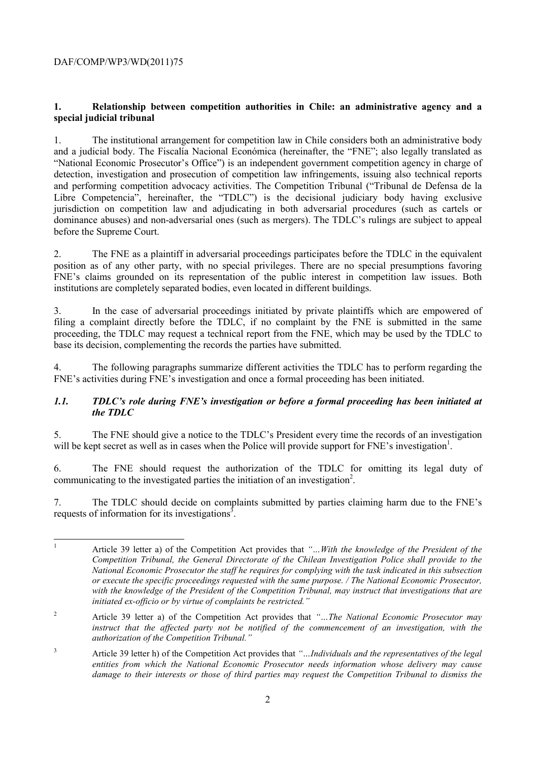# **1. Relationship between competition authorities in Chile: an administrative agency and a special judicial tribunal**

1. The institutional arrangement for competition law in Chile considers both an administrative body and a judicial body. The Fiscalía Nacional Económica (hereinafter, the "FNE"; also legally translated as "National Economic Prosecutor's Office") is an independent government competition agency in charge of detection, investigation and prosecution of competition law infringements, issuing also technical reports and performing competition advocacy activities. The Competition Tribunal ("Tribunal de Defensa de la Libre Competencia", hereinafter, the "TDLC") is the decisional judiciary body having exclusive jurisdiction on competition law and adjudicating in both adversarial procedures (such as cartels or dominance abuses) and non-adversarial ones (such as mergers). The TDLC's rulings are subject to appeal before the Supreme Court.

2. The FNE as a plaintiff in adversarial proceedings participates before the TDLC in the equivalent position as of any other party, with no special privileges. There are no special presumptions favoring FNE's claims grounded on its representation of the public interest in competition law issues. Both institutions are completely separated bodies, even located in different buildings.

3. In the case of adversarial proceedings initiated by private plaintiffs which are empowered of filing a complaint directly before the TDLC, if no complaint by the FNE is submitted in the same proceeding, the TDLC may request a technical report from the FNE, which may be used by the TDLC to base its decision, complementing the records the parties have submitted.

4. The following paragraphs summarize different activities the TDLC has to perform regarding the FNE's activities during FNE's investigation and once a formal proceeding has been initiated.

#### *1.1. TDLC's role during FNE's investigation or before a formal proceeding has been initiated at the TDLC*

5. The FNE should give a notice to the TDLC's President every time the records of an investigation will be kept secret as well as in cases when the Police will provide support for FNE's investigation<sup>1</sup>.

6. The FNE should request the authorization of the TDLC for omitting its legal duty of communicating to the investigated parties the initiation of an investigation<sup>2</sup>.

7. The TDLC should decide on complaints submitted by parties claiming harm due to the FNE's requests of information for its investigations<sup>3</sup>.

 $\frac{1}{1}$  Article 39 letter a) of the Competition Act provides that *"…With the knowledge of the President of the Competition Tribunal, the General Directorate of the Chilean Investigation Police shall provide to the National Economic Prosecutor the staff he requires for complying with the task indicated in this subsection or execute the specific proceedings requested with the same purpose. / The National Economic Prosecutor, with the knowledge of the President of the Competition Tribunal, may instruct that investigations that are initiated ex-officio or by virtue of complaints be restricted."* 

2 Article 39 letter a) of the Competition Act provides that *"…The National Economic Prosecutor may instruct that the affected party not be notified of the commencement of an investigation, with the authorization of the Competition Tribunal."* 

3 Article 39 letter h) of the Competition Act provides that *"…Individuals and the representatives of the legal entities from which the National Economic Prosecutor needs information whose delivery may cause damage to their interests or those of third parties may request the Competition Tribunal to dismiss the*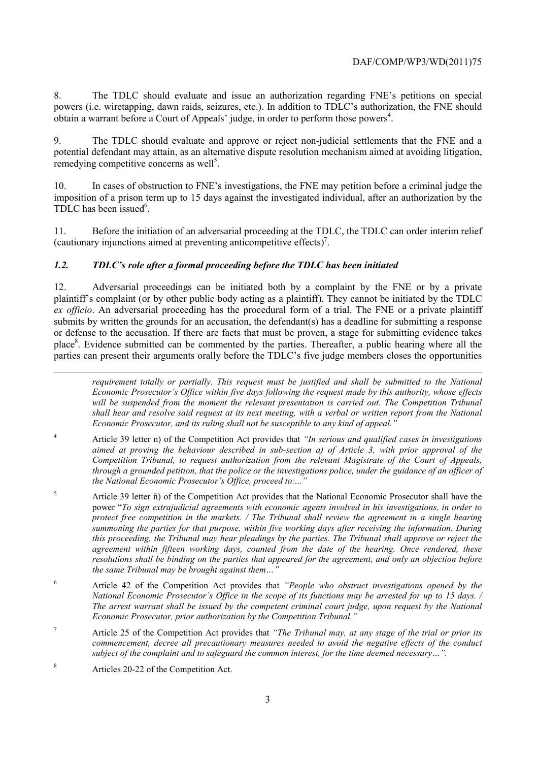8. The TDLC should evaluate and issue an authorization regarding FNE's petitions on special powers (i.e. wiretapping, dawn raids, seizures, etc.). In addition to TDLC's authorization, the FNE should obtain a warrant before a Court of Appeals' judge, in order to perform those powers $4$ .

The TDLC should evaluate and approve or reject non-judicial settlements that the FNE and a potential defendant may attain, as an alternative dispute resolution mechanism aimed at avoiding litigation, remedying competitive concerns as well<sup>5</sup>.

10. In cases of obstruction to FNE's investigations, the FNE may petition before a criminal judge the imposition of a prison term up to 15 days against the investigated individual, after an authorization by the TDLC has been issued<sup>6</sup>.

11. Before the initiation of an adversarial proceeding at the TDLC, the TDLC can order interim relief (cautionary injunctions aimed at preventing anticompetitive effects)<sup>7</sup>.

#### *1.2. TDLC's role after a formal proceeding before the TDLC has been initiated*

12. Adversarial proceedings can be initiated both by a complaint by the FNE or by a private plaintiff's complaint (or by other public body acting as a plaintiff). They cannot be initiated by the TDLC *ex officio*. An adversarial proceeding has the procedural form of a trial. The FNE or a private plaintiff submits by written the grounds for an accusation, the defendant(s) has a deadline for submitting a response or defense to the accusation. If there are facts that must be proven, a stage for submitting evidence takes place<sup>8</sup>. Evidence submitted can be commented by the parties. Thereafter, a public hearing where all the parties can present their arguments orally before the TDLC's five judge members closes the opportunities

*requirement totally or partially. This request must be justified and shall be submitted to the National Economic Prosecutor's Office within five days following the request made by this authority, whose effects*  will be suspended from the moment the relevant presentation is carried out. The Competition Tribunal *shall hear and resolve said request at its next meeting, with a verbal or written report from the National Economic Prosecutor, and its ruling shall not be susceptible to any kind of appeal."* 

- 4 Article 39 letter n) of the Competition Act provides that *"In serious and qualified cases in investigations aimed at proving the behaviour described in sub-section a) of Article 3, with prior approval of the Competition Tribunal, to request authorization from the relevant Magistrate of the Court of Appeals, through a grounded petition, that the police or the investigations police, under the guidance of an officer of the National Economic Prosecutor's Office, proceed to:..."*
- 5 Article 39 letter ñ) of the Competition Act provides that the National Economic Prosecutor shall have the power "*To sign extrajudicial agreements with economic agents involved in his investigations, in order to protect free competition in the markets. / The Tribunal shall review the agreement in a single hearing summoning the parties for that purpose, within five working days after receiving the information. During this proceeding, the Tribunal may hear pleadings by the parties. The Tribunal shall approve or reject the agreement within fifteen working days, counted from the date of the hearing. Once rendered, these resolutions shall be binding on the parties that appeared for the agreement, and only an objection before the same Tribunal may be brought against them...*
- 6 Article 42 of the Competition Act provides that *"People who obstruct investigations opened by the National Economic Prosecutor's Office in the scope of its functions may be arrested for up to 15 days. / The arrest warrant shall be issued by the competent criminal court judge, upon request by the National Economic Prosecutor, prior authorization by the Competition Tribunal."*
- 7 Article 25 of the Competition Act provides that *"The Tribunal may, at any stage of the trial or prior its commencement, decree all precautionary measures needed to avoid the negative effects of the conduct subject of the complaint and to safeguard the common interest, for the time deemed necessary…".*
- 8 Articles 20-22 of the Competition Act.

1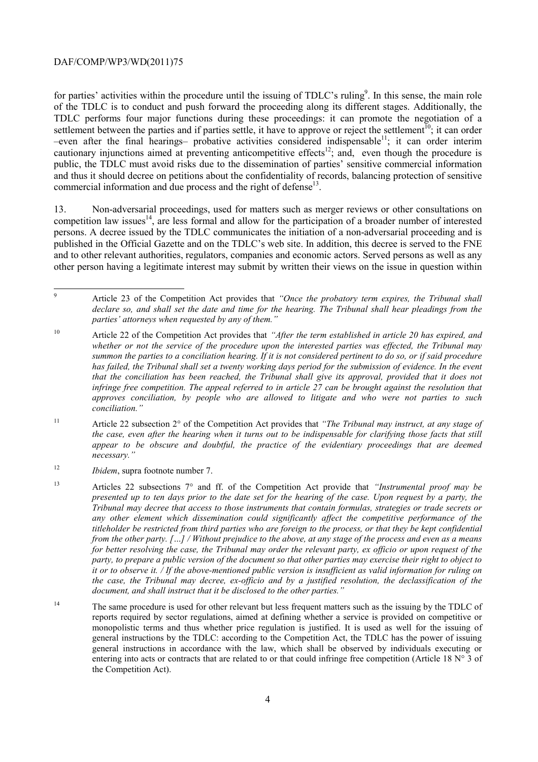for parties' activities within the procedure until the issuing of TDLC's ruling<sup>9</sup>. In this sense, the main role of the TDLC is to conduct and push forward the proceeding along its different stages. Additionally, the TDLC performs four major functions during these proceedings: it can promote the negotiation of a settlement between the parties and if parties settle, it have to approve or reject the settlement<sup>10</sup>; it can order  $-even$  after the final hearings– probative activities considered indispensable<sup>11</sup>; it can order interim cautionary injunctions aimed at preventing anticompetitive effects<sup>12</sup>; and, even though the procedure is public, the TDLC must avoid risks due to the dissemination of parties' sensitive commercial information and thus it should decree on petitions about the confidentiality of records, balancing protection of sensitive commercial information and due process and the right of defense<sup>13</sup>.

13. Non-adversarial proceedings, used for matters such as merger reviews or other consultations on competition law issues<sup>14</sup>, are less formal and allow for the participation of a broader number of interested persons. A decree issued by the TDLC communicates the initiation of a non-adversarial proceeding and is published in the Official Gazette and on the TDLC's web site. In addition, this decree is served to the FNE and to other relevant authorities, regulators, companies and economic actors. Served persons as well as any other person having a legitimate interest may submit by written their views on the issue in question within

<sup>-&</sup>lt;br>9 Article 23 of the Competition Act provides that *"Once the probatory term expires, the Tribunal shall declare so, and shall set the date and time for the hearing. The Tribunal shall hear pleadings from the parties' attorneys when requested by any of them."* 

<sup>10</sup> Article 22 of the Competition Act provides that *"After the term established in article 20 has expired, and whether or not the service of the procedure upon the interested parties was effected, the Tribunal may summon the parties to a conciliation hearing. If it is not considered pertinent to do so, or if said procedure has failed, the Tribunal shall set a twenty working days period for the submission of evidence. In the event that the conciliation has been reached, the Tribunal shall give its approval, provided that it does not infringe free competition. The appeal referred to in article 27 can be brought against the resolution that approves conciliation, by people who are allowed to litigate and who were not parties to such conciliation."* 

<sup>11</sup> Article 22 subsection 2° of the Competition Act provides that *"The Tribunal may instruct, at any stage of the case, even after the hearing when it turns out to be indispensable for clarifying those facts that still appear to be obscure and doubtful, the practice of the evidentiary proceedings that are deemed necessary."*

<sup>12</sup> *Ibidem*, supra footnote number 7.

<sup>13</sup> Articles 22 subsections 7° and ff. of the Competition Act provide that *"Instrumental proof may be presented up to ten days prior to the date set for the hearing of the case. Upon request by a party, the Tribunal may decree that access to those instruments that contain formulas, strategies or trade secrets or any other element which dissemination could significantly affect the competitive performance of the titleholder be restricted from third parties who are foreign to the process, or that they be kept confidential from the other party. […] / Without prejudice to the above, at any stage of the process and even as a means for better resolving the case, the Tribunal may order the relevant party, ex officio or upon request of the party, to prepare a public version of the document so that other parties may exercise their right to object to it or to observe it. / If the above-mentioned public version is insufficient as valid information for ruling on the case, the Tribunal may decree, ex-officio and by a justified resolution, the declassification of the document, and shall instruct that it be disclosed to the other parties."* 

<sup>&</sup>lt;sup>14</sup> The same procedure is used for other relevant but less frequent matters such as the issuing by the TDLC of reports required by sector regulations, aimed at defining whether a service is provided on competitive or monopolistic terms and thus whether price regulation is justified. It is used as well for the issuing of general instructions by the TDLC: according to the Competition Act, the TDLC has the power of issuing general instructions in accordance with the law, which shall be observed by individuals executing or entering into acts or contracts that are related to or that could infringe free competition (Article 18  $\mathbb{N}^{\circ}$  3 of the Competition Act).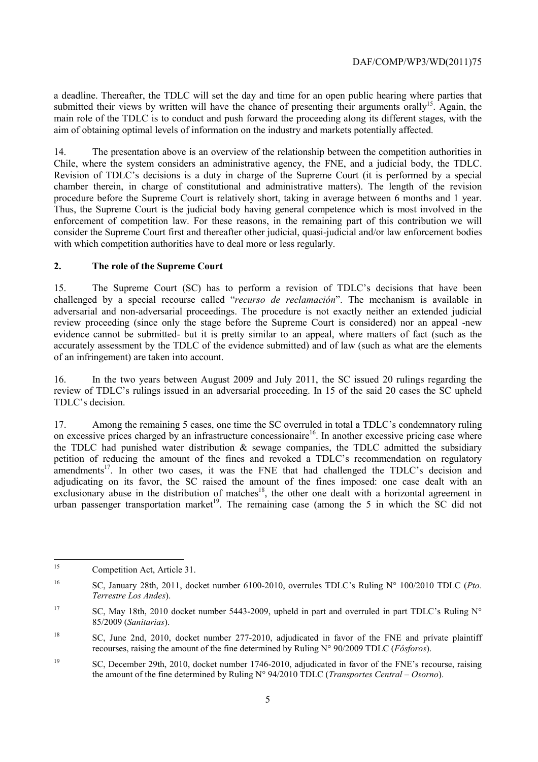a deadline. Thereafter, the TDLC will set the day and time for an open public hearing where parties that submitted their views by written will have the chance of presenting their arguments orally<sup>15</sup>. Again, the main role of the TDLC is to conduct and push forward the proceeding along its different stages, with the aim of obtaining optimal levels of information on the industry and markets potentially affected.

14. The presentation above is an overview of the relationship between the competition authorities in Chile, where the system considers an administrative agency, the FNE, and a judicial body, the TDLC. Revision of TDLC's decisions is a duty in charge of the Supreme Court (it is performed by a special chamber therein, in charge of constitutional and administrative matters). The length of the revision procedure before the Supreme Court is relatively short, taking in average between 6 months and 1 year. Thus, the Supreme Court is the judicial body having general competence which is most involved in the enforcement of competition law. For these reasons, in the remaining part of this contribution we will consider the Supreme Court first and thereafter other judicial, quasi-judicial and/or law enforcement bodies with which competition authorities have to deal more or less regularly.

#### **2. The role of the Supreme Court**

15. The Supreme Court (SC) has to perform a revision of TDLC's decisions that have been challenged by a special recourse called "*recurso de reclamación*". The mechanism is available in adversarial and non-adversarial proceedings. The procedure is not exactly neither an extended judicial review proceeding (since only the stage before the Supreme Court is considered) nor an appeal -new evidence cannot be submitted- but it is pretty similar to an appeal, where matters of fact (such as the accurately assessment by the TDLC of the evidence submitted) and of law (such as what are the elements of an infringement) are taken into account.

16. In the two years between August 2009 and July 2011, the SC issued 20 rulings regarding the review of TDLC's rulings issued in an adversarial proceeding. In 15 of the said 20 cases the SC upheld TDLC's decision.

17. Among the remaining 5 cases, one time the SC overruled in total a TDLC's condemnatory ruling on excessive prices charged by an infrastructure concessionaire<sup>16</sup>. In another excessive pricing case where the TDLC had punished water distribution  $\&$  sewage companies, the TDLC admitted the subsidiary petition of reducing the amount of the fines and revoked a TDLC's recommendation on regulatory amendments<sup>17</sup>. In other two cases, it was the FNE that had challenged the TDLC's decision and adjudicating on its favor, the SC raised the amount of the fines imposed: one case dealt with an exclusionary abuse in the distribution of matches<sup>18</sup>, the other one dealt with a horizontal agreement in urban passenger transportation market<sup>19</sup>. The remaining case (among the 5 in which the SC did not

<sup>15</sup> Competition Act, Article 31.

<sup>16</sup> SC, January 28th, 2011, docket number 6100-2010, overrules TDLC's Ruling N° 100/2010 TDLC (*Pto. Terrestre Los Andes*).

<sup>&</sup>lt;sup>17</sup> SC, May 18th, 2010 docket number 5443-2009, upheld in part and overruled in part TDLC's Ruling N° 85/2009 (*Sanitarias*).

<sup>&</sup>lt;sup>18</sup> SC, June 2nd, 2010, docket number 277-2010, adjudicated in favor of the FNE and private plaintiff recourses, raising the amount of the fine determined by Ruling N° 90/2009 TDLC (*Fósforos*).

<sup>19</sup> SC, December 29th, 2010, docket number 1746-2010, adjudicated in favor of the FNE's recourse, raising the amount of the fine determined by Ruling N° 94/2010 TDLC (*Transportes Central – Osorno*).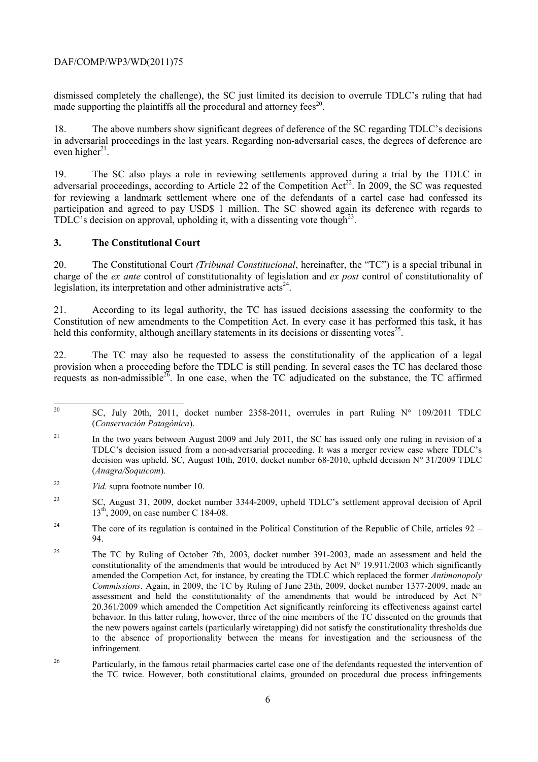dismissed completely the challenge), the SC just limited its decision to overrule TDLC's ruling that had made supporting the plaintiffs all the procedural and attorney fees<sup>20</sup>.

18. The above numbers show significant degrees of deference of the SC regarding TDLC's decisions in adversarial proceedings in the last years. Regarding non-adversarial cases, the degrees of deference are even higher $^{21}$ .

19. The SC also plays a role in reviewing settlements approved during a trial by the TDLC in adversarial proceedings, according to Article 22 of the Competition  $Act^{22}$ . In 2009, the SC was requested for reviewing a landmark settlement where one of the defendants of a cartel case had confessed its participation and agreed to pay USD\$ 1 million. The SC showed again its deference with regards to TDLC's decision on approval, upholding it, with a dissenting vote though<sup>23</sup>.

#### **3. The Constitutional Court**

20. The Constitutional Court *(Tribunal Constitucional*, hereinafter, the "TC") is a special tribunal in charge of the *ex ante* control of constitutionality of legislation and *ex post* control of constitutionality of legislation, its interpretation and other administrative  $\arctanes^{24}$ .

21. According to its legal authority, the TC has issued decisions assessing the conformity to the Constitution of new amendments to the Competition Act. In every case it has performed this task, it has held this conformity, although ancillary statements in its decisions or dissenting votes<sup>25</sup>.

22. The TC may also be requested to assess the constitutionality of the application of a legal provision when a proceeding before the TDLC is still pending. In several cases the TC has declared those requests as non-admissible<sup>26</sup>. In one case, when the  $TC$  adjudicated on the substance, the TC affirmed

 $20\degree$ SC, July 20th, 2011, docket number 2358-2011, overrules in part Ruling  $N^{\circ}$  109/2011 TDLC (*Conservación Patagónica*).

<sup>&</sup>lt;sup>21</sup> In the two years between August 2009 and July 2011, the SC has issued only one ruling in revision of a TDLC's decision issued from a non-adversarial proceeding. It was a merger review case where TDLC's decision was upheld. SC, August 10th, 2010, docket number 68-2010, upheld decision N° 31/2009 TDLC (*Anagra/Soquicom*).

<sup>22</sup> *Vid.* supra footnote number 10.

<sup>23</sup> SC, August 31, 2009, docket number 3344-2009, upheld TDLC's settlement approval decision of April 13<sup>th</sup>, 2009, on case number C 184-08.

<sup>&</sup>lt;sup>24</sup> The core of its regulation is contained in the Political Constitution of the Republic of Chile, articles  $92 -$ 94.

<sup>&</sup>lt;sup>25</sup> The TC by Ruling of October 7th, 2003, docket number 391-2003, made an assessment and held the constitutionality of the amendments that would be introduced by Act N° 19.911/2003 which significantly amended the Competion Act, for instance, by creating the TDLC which replaced the former *Antimonopoly Commissions*. Again, in 2009, the TC by Ruling of June 23th, 2009, docket number 1377-2009, made an assessment and held the constitutionality of the amendments that would be introduced by Act  $N^{\circ}$ 20.361/2009 which amended the Competition Act significantly reinforcing its effectiveness against cartel behavior. In this latter ruling, however, three of the nine members of the TC dissented on the grounds that the new powers against cartels (particularly wiretapping) did not satisfy the constitutionality thresholds due to the absence of proportionality between the means for investigation and the seriousness of the infringement.

<sup>&</sup>lt;sup>26</sup> Particularly, in the famous retail pharmacies cartel case one of the defendants requested the intervention of the TC twice. However, both constitutional claims, grounded on procedural due process infringements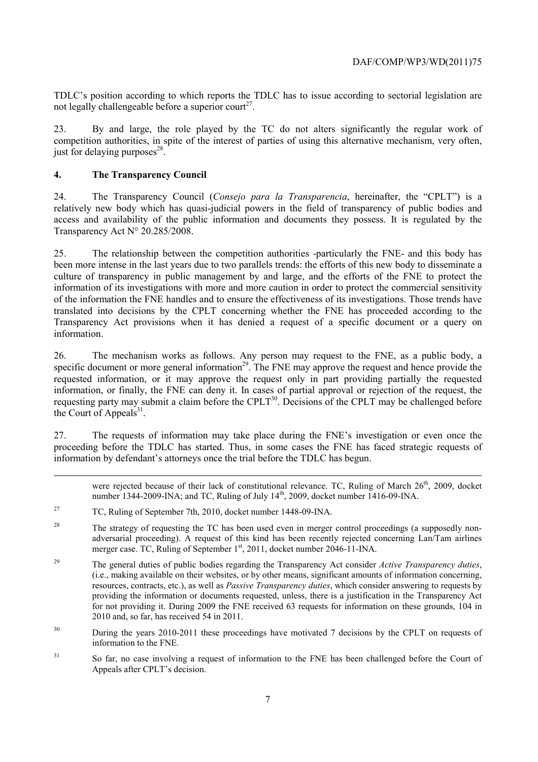TDLC's position according to which reports the TDLC has to issue according to sectorial legislation are not legally challengeable before a superior court<sup>27</sup>.

23. By and large, the role played by the TC do not alters significantly the regular work of competition authorities, in spite of the interest of parties of using this alternative mechanism, very often, just for delaying purposes $^{28}$ .

## **4. The Transparency Council**

-

24. The Transparency Council (*Consejo para la Transparencia*, hereinafter, the "CPLT") is a relatively new body which has quasi-judicial powers in the field of transparency of public bodies and access and availability of the public information and documents they possess. It is regulated by the Transparency Act N° 20.285/2008.

25. The relationship between the competition authorities -particularly the FNE- and this body has been more intense in the last years due to two parallels trends: the efforts of this new body to disseminate a culture of transparency in public management by and large, and the efforts of the FNE to protect the information of its investigations with more and more caution in order to protect the commercial sensitivity of the information the FNE handles and to ensure the effectiveness of its investigations. Those trends have translated into decisions by the CPLT concerning whether the FNE has proceeded according to the Transparency Act provisions when it has denied a request of a specific document or a query on information.

26. The mechanism works as follows. Any person may request to the FNE, as a public body, a specific document or more general information<sup>29</sup>. The FNE may approve the request and hence provide the requested information, or it may approve the request only in part providing partially the requested information, or finally, the FNE can deny it. In cases of partial approval or rejection of the request, the requesting party may submit a claim before the CPLT<sup>30</sup>. Decisions of the CPLT may be challenged before the Court of Appeals $31$ .

27. The requests of information may take place during the FNE's investigation or even once the proceeding before the TDLC has started. Thus, in some cases the FNE has faced strategic requests of information by defendant's attorneys once the trial before the TDLC has begun.

were rejected because of their lack of constitutional relevance. TC, Ruling of March 26<sup>th</sup>, 2009, docket number 1344-2009-INA; and TC, Ruling of July 14<sup>th</sup>, 2009, docket number 1416-09-INA.

<sup>27</sup> TC, Ruling of September 7th, 2010, docket number 1448-09-INA.

<sup>&</sup>lt;sup>28</sup> The strategy of requesting the TC has been used even in merger control proceedings (a supposedly nonadversarial proceeding). A request of this kind has been recently rejected concerning Lan/Tam airlines merger case. TC, Ruling of September 1<sup>st</sup>, 2011, docket number 2046-11-INA.

<sup>29</sup> The general duties of public bodies regarding the Transparency Act consider *Active Transparency duties*, (i.e., making available on their websites, or by other means, significant amounts of information concerning, resources, contracts, etc.), as well as *Passive Transparency duties*, which consider answering to requests by providing the information or documents requested, unless, there is a justification in the Transparency Act for not providing it. During 2009 the FNE received 63 requests for information on these grounds, 104 in 2010 and, so far, has received 54 in 2011.

<sup>&</sup>lt;sup>30</sup> During the years 2010-2011 these proceedings have motivated 7 decisions by the CPLT on requests of information to the FNE.

<sup>&</sup>lt;sup>31</sup> So far, no case involving a request of information to the FNE has been challenged before the Court of Appeals after CPLT's decision.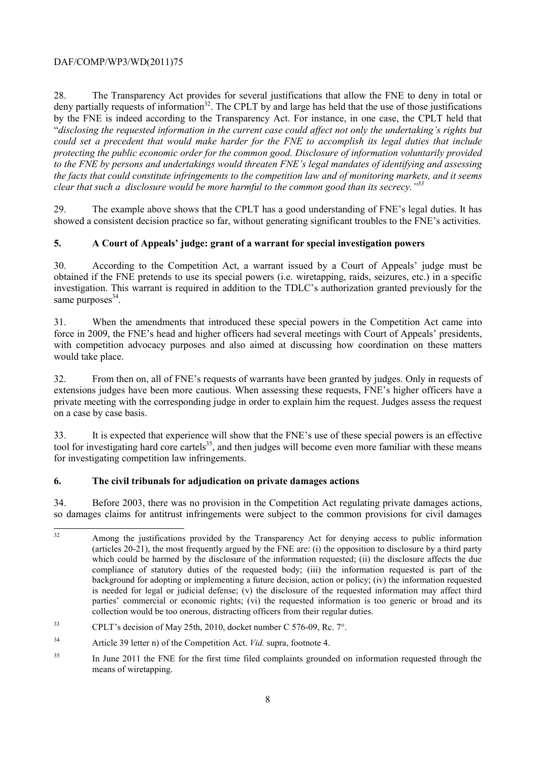28. The Transparency Act provides for several justifications that allow the FNE to deny in total or deny partially requests of information<sup>32</sup>. The CPLT by and large has held that the use of those justifications by the FNE is indeed according to the Transparency Act. For instance, in one case, the CPLT held that "*disclosing the requested information in the current case could affect not only the undertaking's rights but could set a precedent that would make harder for the FNE to accomplish its legal duties that include protecting the public economic order for the common good. Disclosure of information voluntarily provided to the FNE by persons and undertakings would threaten FNE's legal mandates of identifying and assessing the facts that could constitute infringements to the competition law and of monitoring markets, and it seems clear that such a disclosure would be more harmful to the common good than its secrecy."33*

29. The example above shows that the CPLT has a good understanding of FNE's legal duties. It has showed a consistent decision practice so far, without generating significant troubles to the FNE's activities.

#### **5. A Court of Appeals' judge: grant of a warrant for special investigation powers**

30. According to the Competition Act, a warrant issued by a Court of Appeals' judge must be obtained if the FNE pretends to use its special powers (i.e. wiretapping, raids, seizures, etc.) in a specific investigation. This warrant is required in addition to the TDLC's authorization granted previously for the same purposes $34$ .

31. When the amendments that introduced these special powers in the Competition Act came into force in 2009, the FNE's head and higher officers had several meetings with Court of Appeals' presidents, with competition advocacy purposes and also aimed at discussing how coordination on these matters would take place.

32. From then on, all of FNE's requests of warrants have been granted by judges. Only in requests of extensions judges have been more cautious. When assessing these requests, FNE's higher officers have a private meeting with the corresponding judge in order to explain him the request. Judges assess the request on a case by case basis.

33. It is expected that experience will show that the FNE's use of these special powers is an effective tool for investigating hard core cartels<sup>35</sup>, and then judges will become even more familiar with these means for investigating competition law infringements.

#### **6. The civil tribunals for adjudication on private damages actions**

34. Before 2003, there was no provision in the Competition Act regulating private damages actions, so damages claims for antitrust infringements were subject to the common provisions for civil damages

 $32$ Among the justifications provided by the Transparency Act for denying access to public information (articles 20-21), the most frequently argued by the FNE are: (i) the opposition to disclosure by a third party which could be harmed by the disclosure of the information requested; (ii) the disclosure affects the due compliance of statutory duties of the requested body; (iii) the information requested is part of the background for adopting or implementing a future decision, action or policy; (iv) the information requested is needed for legal or judicial defense; (v) the disclosure of the requested information may affect third parties' commercial or economic rights; (vi) the requested information is too generic or broad and its collection would be too onerous, distracting officers from their regular duties.

<sup>33</sup> CPLT's decision of May 25th, 2010, docket number C 576-09, Rc. 7°.

<sup>34</sup> Article 39 letter n) of the Competition Act. *Vid.* supra, footnote 4.

<sup>&</sup>lt;sup>35</sup> In June 2011 the FNE for the first time filed complaints grounded on information requested through the means of wiretapping.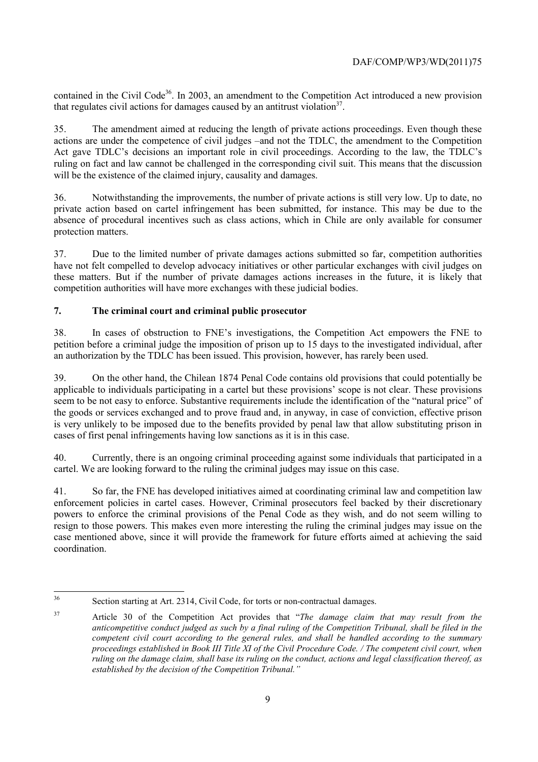contained in the Civil Code<sup>36</sup>. In 2003, an amendment to the Competition Act introduced a new provision that regulates civil actions for damages caused by an antitrust violation<sup>37</sup>.

35. The amendment aimed at reducing the length of private actions proceedings. Even though these actions are under the competence of civil judges –and not the TDLC, the amendment to the Competition Act gave TDLC's decisions an important role in civil proceedings. According to the law, the TDLC's ruling on fact and law cannot be challenged in the corresponding civil suit. This means that the discussion will be the existence of the claimed injury, causality and damages.

36. Notwithstanding the improvements, the number of private actions is still very low. Up to date, no private action based on cartel infringement has been submitted, for instance. This may be due to the absence of procedural incentives such as class actions, which in Chile are only available for consumer protection matters.

37. Due to the limited number of private damages actions submitted so far, competition authorities have not felt compelled to develop advocacy initiatives or other particular exchanges with civil judges on these matters. But if the number of private damages actions increases in the future, it is likely that competition authorities will have more exchanges with these judicial bodies.

# **7. The criminal court and criminal public prosecutor**

38. In cases of obstruction to FNE's investigations, the Competition Act empowers the FNE to petition before a criminal judge the imposition of prison up to 15 days to the investigated individual, after an authorization by the TDLC has been issued. This provision, however, has rarely been used.

39. On the other hand, the Chilean 1874 Penal Code contains old provisions that could potentially be applicable to individuals participating in a cartel but these provisions' scope is not clear. These provisions seem to be not easy to enforce. Substantive requirements include the identification of the "natural price" of the goods or services exchanged and to prove fraud and, in anyway, in case of conviction, effective prison is very unlikely to be imposed due to the benefits provided by penal law that allow substituting prison in cases of first penal infringements having low sanctions as it is in this case.

40. Currently, there is an ongoing criminal proceeding against some individuals that participated in a cartel. We are looking forward to the ruling the criminal judges may issue on this case.

41. So far, the FNE has developed initiatives aimed at coordinating criminal law and competition law enforcement policies in cartel cases. However, Criminal prosecutors feel backed by their discretionary powers to enforce the criminal provisions of the Penal Code as they wish, and do not seem willing to resign to those powers. This makes even more interesting the ruling the criminal judges may issue on the case mentioned above, since it will provide the framework for future efforts aimed at achieving the said coordination.

 $36$ Section starting at Art. 2314, Civil Code, for torts or non-contractual damages.

<sup>37</sup> Article 30 of the Competition Act provides that "*The damage claim that may result from the anticompetitive conduct judged as such by a final ruling of the Competition Tribunal, shall be filed in the competent civil court according to the general rules, and shall be handled according to the summary proceedings established in Book III Title XI of the Civil Procedure Code. / The competent civil court, when ruling on the damage claim, shall base its ruling on the conduct, actions and legal classification thereof, as established by the decision of the Competition Tribunal."*